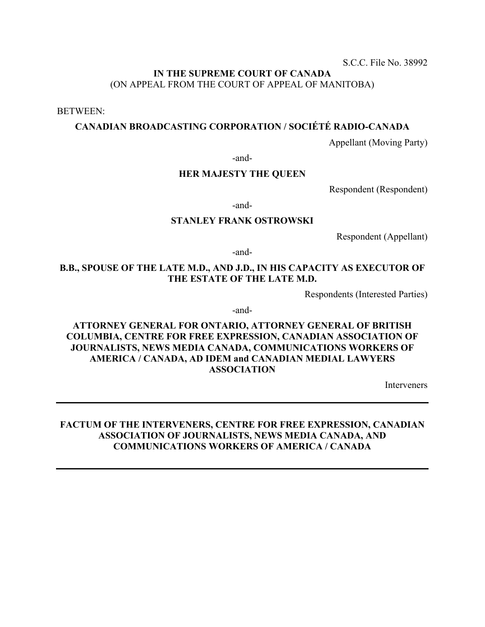S.C.C. File No. 38992

# **IN THE SUPREME COURT OF CANADA** (ON APPEAL FROM THE COURT OF APPEAL OF MANITOBA)

BETWEEN:

# **CANADIAN BROADCASTING CORPORATION / SOCIÉTÉ RADIO-CANADA**

Appellant (Moving Party)

-and-

## **HER MAJESTY THE QUEEN**

Respondent (Respondent)

-and-

## **STANLEY FRANK OSTROWSKI**

Respondent (Appellant)

-and-

# **B.B., SPOUSE OF THE LATE M.D., AND J.D., IN HIS CAPACITY AS EXECUTOR OF THE ESTATE OF THE LATE M.D.**

Respondents (Interested Parties)

-and-

**ATTORNEY GENERAL FOR ONTARIO, ATTORNEY GENERAL OF BRITISH COLUMBIA, CENTRE FOR FREE EXPRESSION, CANADIAN ASSOCIATION OF JOURNALISTS, NEWS MEDIA CANADA, COMMUNICATIONS WORKERS OF AMERICA / CANADA, AD IDEM and CANADIAN MEDIAL LAWYERS ASSOCIATION** 

Interveners

## **FACTUM OF THE INTERVENERS, CENTRE FOR FREE EXPRESSION, CANADIAN ASSOCIATION OF JOURNALISTS, NEWS MEDIA CANADA, AND COMMUNICATIONS WORKERS OF AMERICA / CANADA**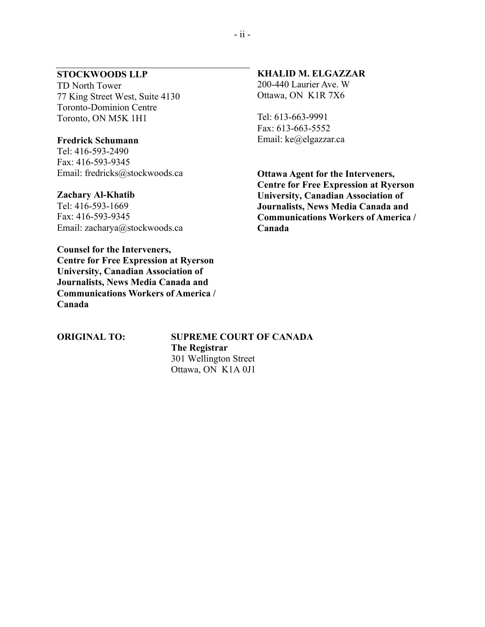# **STOCKWOODS LLP**

TD North Tower 77 King Street West, Suite 4130 Toronto-Dominion Centre Toronto, ON M5K 1H1

## **Fredrick Schumann**

Tel: 416-593-2490 Fax: 416-593-9345 Email: fredricks@stockwoods.ca

## **Zachary Al-Khatib**

Tel: 416-593-1669 Fax: 416-593-9345 Email: zacharya@stockwoods.ca

**Counsel for the Interveners, Centre for Free Expression at Ryerson University, Canadian Association of Journalists, News Media Canada and Communications Workers of America / Canada** 

## **KHALID M. ELGAZZAR**

200-440 Laurier Ave. W Ottawa, ON K1R 7X6

Tel: 613-663-9991 Fax: 613-663-5552 Email: ke@elgazzar.ca

**Ottawa Agent for the Interveners, Centre for Free Expression at Ryerson University, Canadian Association of Journalists, News Media Canada and Communications Workers of America / Canada**

**ORIGINAL TO: SUPREME COURT OF CANADA The Registrar** 301 Wellington Street Ottawa, ON K1A 0J1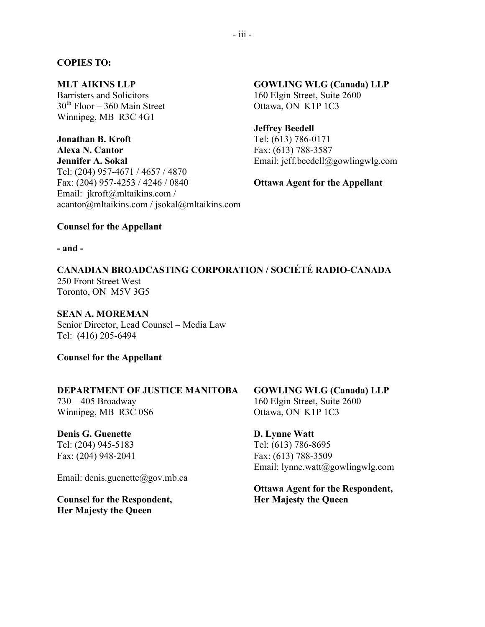## **COPIES TO:**

## **MLT AIKINS LLP**

Barristers and Solicitors  $30<sup>th</sup>$  Floor – 360 Main Street Winnipeg, MB R3C 4G1

**Jonathan B. Kroft Alexa N. Cantor**

**Jennifer A. Sokal** Tel: (204) 957-4671 / 4657 / 4870 Fax: (204) 957-4253 / 4246 / 0840 Email: jkroft@mltaikins.com / acantor@mltaikins.com / jsokal@mltaikins.com

**GOWLING WLG (Canada) LLP** 160 Elgin Street, Suite 2600 Ottawa, ON K1P 1C3

**Jeffrey Beedell** Tel: (613) 786-0171 Fax: (613) 788-3587 Email: jeff.beedell@gowlingwlg.com

**Ottawa Agent for the Appellant**

## **Counsel for the Appellant**

#### **- and -**

**CANADIAN BROADCASTING CORPORATION / SOCIÉTÉ RADIO-CANADA** 250 Front Street West Toronto, ON M5V 3G5

## **SEAN A. MOREMAN**

Senior Director, Lead Counsel – Media Law Tel: (416) 205-6494

**Counsel for the Appellant**

## **DEPARTMENT OF JUSTICE MANITOBA**

730 – 405 Broadway Winnipeg, MB R3C 0S6

**Denis G. Guenette** Tel: (204) 945-5183 Fax: (204) 948-2041

Email: denis.guenette@gov.mb.ca

**Counsel for the Respondent, Her Majesty the Queen**

**GOWLING WLG (Canada) LLP** 160 Elgin Street, Suite 2600 Ottawa, ON K1P 1C3

**D. Lynne Watt** Tel: (613) 786-8695 Fax: (613) 788-3509 Email: lynne.watt@gowlingwlg.com

**Ottawa Agent for the Respondent, Her Majesty the Queen**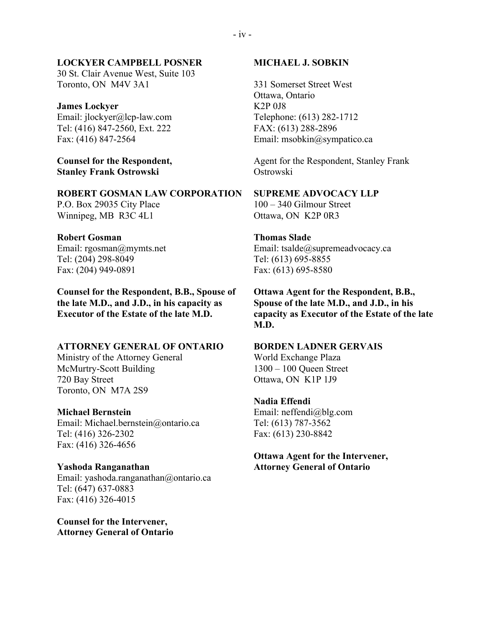#### **LOCKYER CAMPBELL POSNER**

30 St. Clair Avenue West, Suite 103 Toronto, ON M4V 3A1

#### **James Lockyer**

Email: jlockyer@lcp-law.com Tel: (416) 847-2560, Ext. 222 Fax: (416) 847-2564

**Counsel for the Respondent, Stanley Frank Ostrowski**

**ROBERT GOSMAN LAW CORPORATION** P.O. Box 29035 City Place Winnipeg, MB R3C 4L1

#### **Robert Gosman**

Email: rgosman@mymts.net Tel: (204) 298-8049 Fax: (204) 949-0891

**Counsel for the Respondent, B.B., Spouse of the late M.D., and J.D., in his capacity as Executor of the Estate of the late M.D.**

#### **ATTORNEY GENERAL OF ONTARIO**

Ministry of the Attorney General McMurtry-Scott Building 720 Bay Street Toronto, ON M7A 2S9

#### **Michael Bernstein**

Email: Michael.bernstein@ontario.ca Tel: (416) 326-2302 Fax: (416) 326-4656

# **Yashoda Ranganathan**

Email: yashoda.ranganathan@ontario.ca Tel: (647) 637-0883 Fax: (416) 326-4015

**Counsel for the Intervener, Attorney General of Ontario**

#### **MICHAEL J. SOBKIN**

331 Somerset Street West Ottawa, Ontario K2P 0J8 Telephone: (613) 282-1712 FAX: (613) 288-2896 Email: msobkin@sympatico.ca

Agent for the Respondent, Stanley Frank Ostrowski

# **SUPREME ADVOCACY LLP**

100 – 340 Gilmour Street Ottawa, ON K2P 0R3

## **Thomas Slade**

Email: tsalde@supremeadvocacy.ca Tel: (613) 695-8855 Fax: (613) 695-8580

**Ottawa Agent for the Respondent, B.B., Spouse of the late M.D., and J.D., in his capacity as Executor of the Estate of the late M.D.**

#### **BORDEN LADNER GERVAIS**

World Exchange Plaza 1300 – 100 Queen Street Ottawa, ON K1P 1J9

#### **Nadia Effendi**

Email: neffendi@blg.com Tel: (613) 787-3562 Fax: (613) 230-8842

## **Ottawa Agent for the Intervener, Attorney General of Ontario**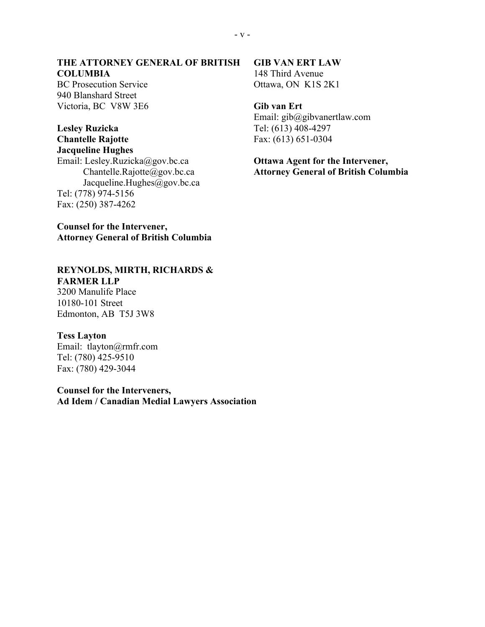## **THE ATTORNEY GENERAL OF BRITISH COLUMBIA**

BC Prosecution Service 940 Blanshard Street Victoria, BC V8W 3E6

## **Lesley Ruzicka Chantelle Rajotte Jacqueline Hughes**

Email: Lesley.Ruzicka@gov.bc.ca Chantelle.Rajotte@gov.bc.ca Jacqueline.Hughes@gov.bc.ca Tel: (778) 974-5156 Fax: (250) 387-4262

**Counsel for the Intervener, Attorney General of British Columbia**

## **REYNOLDS, MIRTH, RICHARDS & FARMER LLP**

3200 Manulife Place 10180-101 Street Edmonton, AB T5J 3W8

## **Tess Layton**

Email: tlayton@rmfr.com Tel: (780) 425-9510 Fax: (780) 429-3044

**Counsel for the Interveners, Ad Idem / Canadian Medial Lawyers Association**

#### **GIB VAN ERT LAW** 148 Third Avenue

Ottawa, ON K1S 2K1

# **Gib van Ert**

Email: gib@gibvanertlaw.com Tel: (613) 408-4297 Fax: (613) 651-0304

# **Ottawa Agent for the Intervener, Attorney General of British Columbia**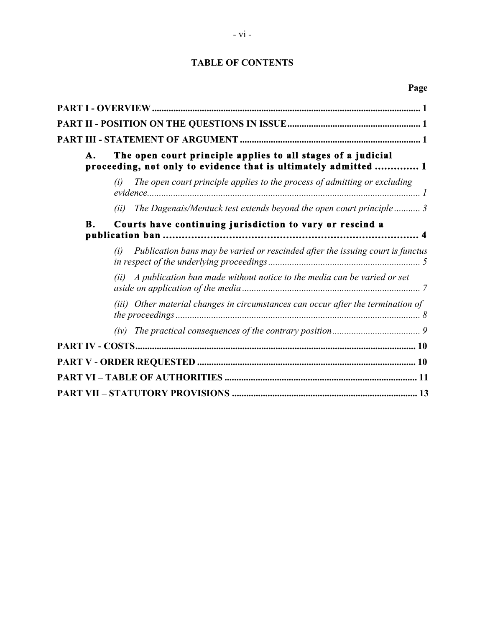# **TABLE OF CONTENTS**

| А.        | The open court principle applies to all stages of a judicial<br>proceeding, not only to evidence that is ultimately admitted  1 |
|-----------|---------------------------------------------------------------------------------------------------------------------------------|
|           | The open court principle applies to the process of admitting or excluding<br>(i)                                                |
|           | (ii) The Dagenais/Mentuck test extends beyond the open court principle  3                                                       |
| <b>B.</b> | Courts have continuing jurisdiction to vary or rescind a                                                                        |
|           | (i) Publication bans may be varied or rescinded after the issuing court is functus                                              |
|           | $(ii)$ A publication ban made without notice to the media can be varied or set                                                  |
|           | (iii) Other material changes in circumstances can occur after the termination of                                                |
|           |                                                                                                                                 |
|           |                                                                                                                                 |
|           |                                                                                                                                 |
|           |                                                                                                                                 |
|           |                                                                                                                                 |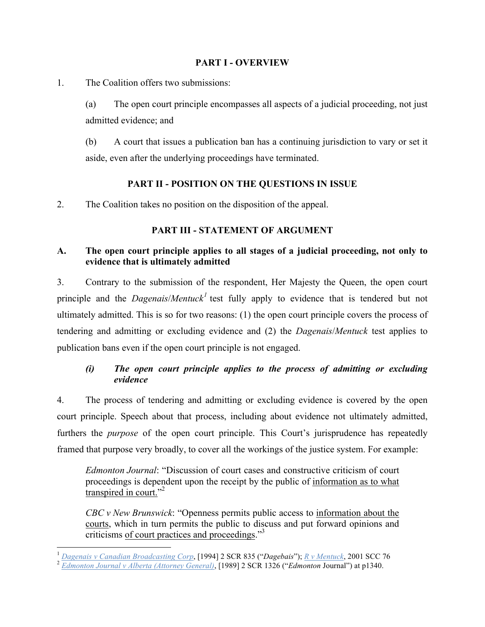# **PART I - OVERVIEW**

<span id="page-6-0"></span>1. The Coalition offers two submissions:

(a) The open court principle encompasses all aspects of a judicial proceeding, not just admitted evidence; and

(b) A court that issues a publication ban has a continuing jurisdiction to vary or set it aside, even after the underlying proceedings have terminated.

# **PART II - POSITION ON THE QUESTIONS IN ISSUE**

2. The Coalition takes no position on the disposition of the appeal.

# **PART III - STATEMENT OF ARGUMENT**

# **A. The open court principle applies to all stages of a judicial proceeding, not only to evidence that is ultimately admitted**

3. Contrary to the submission of the respondent, Her Majesty the Queen, the open court principle and the *Dagenais*/*Mentuck<sup>1</sup>* test fully apply to evidence that is tendered but not ultimately admitted. This is so for two reasons: (1) the open court principle covers the process of tendering and admitting or excluding evidence and (2) the *Dagenais*/*Mentuck* test applies to publication bans even if the open court principle is not engaged.

# *(i) The open court principle applies to the process of admitting or excluding evidence*

4. The process of tendering and admitting or excluding evidence is covered by the open court principle. Speech about that process, including about evidence not ultimately admitted, furthers the *purpose* of the open court principle. This Court's jurisprudence has repeatedly framed that purpose very broadly, to cover all the workings of the justice system. For example:

*Edmonton Journal*: "Discussion of court cases and constructive criticism of court proceedings is dependent upon the receipt by the public of information as to what transpired in court."<sup>2</sup>

*CBC v New Brunswick*: "Openness permits public access to information about the courts, which in turn permits the public to discuss and put forward opinions and criticisms of court practices and proceedings."<sup>3</sup>

<sup>&</sup>lt;sup>1</sup> Dagenais v Canadian Broadcasting Corp, [1994] 2 SCR 835 ("Dagebais"); <u>R v Mentuck</u>, 2001 SCC 76<br><sup>2</sup> Edmonton Journal v Alberta (Attorney General), [1989] 2 SCR 1326 ("Edmonton Journal") at p1340.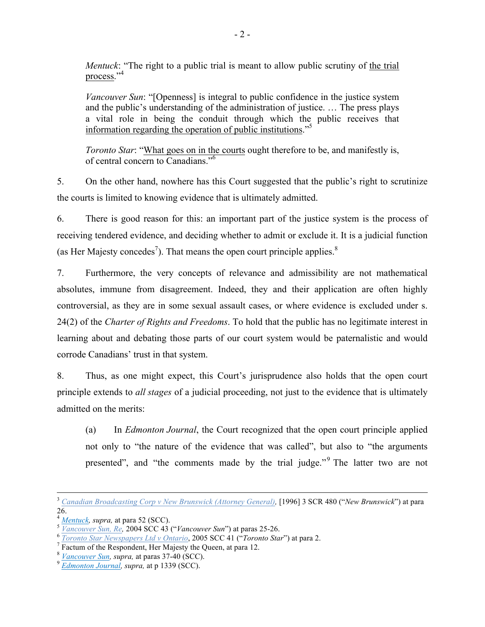*Mentuck*: "The right to a public trial is meant to allow public scrutiny of the trial process."<sup>4</sup>

*Vancouver Sun*: "[Openness] is integral to public confidence in the justice system and the public's understanding of the administration of justice. … The press plays a vital role in being the conduit through which the public receives that information regarding the operation of public institutions."5

*Toronto Star*: "What goes on in the courts ought therefore to be, and manifestly is, of central concern to Canadians." 6

5. On the other hand, nowhere has this Court suggested that the public's right to scrutinize the courts is limited to knowing evidence that is ultimately admitted.

6. There is good reason for this: an important part of the justice system is the process of receiving tendered evidence, and deciding whether to admit or exclude it. It is a judicial function (as Her Majesty concedes<sup>7</sup>). That means the open court principle applies.<sup>8</sup>

7. Furthermore, the very concepts of relevance and admissibility are not mathematical absolutes, immune from disagreement. Indeed, they and their application are often highly controversial, as they are in some sexual assault cases, or where evidence is excluded under s. 24(2) of the *Charter of Rights and Freedoms*. To hold that the public has no legitimate interest in learning about and debating those parts of our court system would be paternalistic and would corrode Canadians' trust in that system.

8. Thus, as one might expect, this Court's jurisprudence also holds that the open court principle extends to *all stages* of a judicial proceeding, not just to the evidence that is ultimately admitted on the merits:

(a) In *Edmonton Journal*, the Court recognized that the open court principle applied not only to "the nature of the evidence that was called", but also to "the arguments presented", and "the comments made by the trial judge."<sup>9</sup> The latter two are not

<sup>&</sup>lt;sup>3</sup> Canadian Broadcasting Corp v New Brunswick (Attorney General), [1996] 3 SCR 480 ("New Brunswick") at para 26.<br> $\frac{4 \text{ Mentuck, supra, at para 52 (SCC)}}{2 \text{ Mentuck, supra, at para 52 (SCC)}}$ 

<sup>&</sup>lt;sup>5</sup> *Vancouver Sun, Re.* 2004 SCC 43 ("*Vancouver Sun*") at paras 25-26.<br>
<sup>6</sup> *Toronto Star Newspapers Ltd v Ontario*, 2005 SCC 41 ("*Toronto Star*") at para 2.<br>
<sup>7</sup> Factum of the Respondent, Her Majesty the Queen, at par

<sup>8</sup> *Vancouver Sun, supra,* at paras 37-40 (SCC). <sup>9</sup> *Edmonton Journal, supra,* at p 1339 (SCC).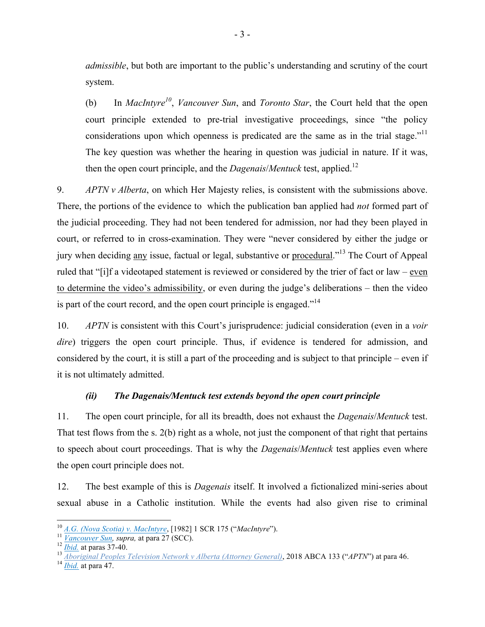<span id="page-8-0"></span>*admissible*, but both are important to the public's understanding and scrutiny of the court system.

(b) In *MacIntyre10*, *Vancouver Sun*, and *Toronto Star*, the Court held that the open court principle extended to pre-trial investigative proceedings, since "the policy considerations upon which openness is predicated are the same as in the trial stage.<sup> $11$ </sup> The key question was whether the hearing in question was judicial in nature. If it was, then the open court principle, and the *Dagenais*/*Mentuck* test, applied.12

9. *APTN v Alberta*, on which Her Majesty relies, is consistent with the submissions above. There, the portions of the evidence to which the publication ban applied had *not* formed part of the judicial proceeding. They had not been tendered for admission, nor had they been played in court, or referred to in cross-examination. They were "never considered by either the judge or jury when deciding any issue, factual or legal, substantive or procedural."13 The Court of Appeal ruled that "[i]f a videotaped statement is reviewed or considered by the trier of fact or law – even to determine the video's admissibility, or even during the judge's deliberations – then the video is part of the court record, and the open court principle is engaged."<sup>14</sup>

10. *APTN* is consistent with this Court's jurisprudence: judicial consideration (even in a *voir dire*) triggers the open court principle. Thus, if evidence is tendered for admission, and considered by the court, it is still a part of the proceeding and is subject to that principle – even if it is not ultimately admitted.

# *(ii) The Dagenais/Mentuck test extends beyond the open court principle*

11. The open court principle, for all its breadth, does not exhaust the *Dagenais*/*Mentuck* test. That test flows from the s. 2(b) right as a whole, not just the component of that right that pertains to speech about court proceedings. That is why the *Dagenais*/*Mentuck* test applies even where the open court principle does not.

12. The best example of this is *Dagenais* itself. It involved a fictionalized mini-series about sexual abuse in a Catholic institution. While the events had also given rise to criminal

<sup>&</sup>lt;sup>10</sup> <u>A.G. (Nova Scotia) v. MacIntyre</u>, [1982] 1 SCR 175 ("MacIntyre").<br>
<sup>11</sup> *Vancouver Sun, supra,* at para 27 (SCC).<br>
<sup>12</sup> *Ibid.* at paras 37-40.<br>
<sup>13</sup> *Aboriginal Peoples Television Network v Alberta (Attorney Genera*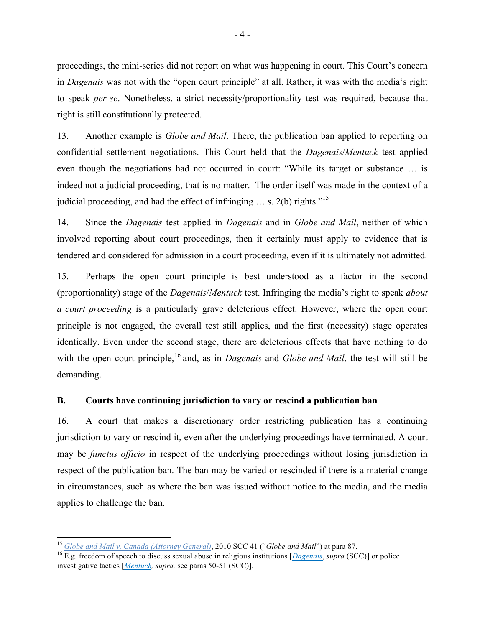<span id="page-9-0"></span>proceedings, the mini-series did not report on what was happening in court. This Court's concern in *Dagenais* was not with the "open court principle" at all. Rather, it was with the media's right to speak *per se*. Nonetheless, a strict necessity/proportionality test was required, because that right is still constitutionally protected.

13. Another example is *Globe and Mail*. There, the publication ban applied to reporting on confidential settlement negotiations. This Court held that the *Dagenais*/*Mentuck* test applied even though the negotiations had not occurred in court: "While its target or substance … is indeed not a judicial proceeding, that is no matter. The order itself was made in the context of a judicial proceeding, and had the effect of infringing  $\dots s$ . 2(b) rights.<sup>"15</sup>

14. Since the *Dagenais* test applied in *Dagenais* and in *Globe and Mail*, neither of which involved reporting about court proceedings, then it certainly must apply to evidence that is tendered and considered for admission in a court proceeding, even if it is ultimately not admitted.

15. Perhaps the open court principle is best understood as a factor in the second (proportionality) stage of the *Dagenais*/*Mentuck* test. Infringing the media's right to speak *about a court proceeding* is a particularly grave deleterious effect. However, where the open court principle is not engaged, the overall test still applies, and the first (necessity) stage operates identically. Even under the second stage, there are deleterious effects that have nothing to do with the open court principle,<sup>16</sup> and, as in *Dagenais* and *Globe and Mail*, the test will still be demanding.

# **B. Courts have continuing jurisdiction to vary or rescind a publication ban**

16. A court that makes a discretionary order restricting publication has a continuing jurisdiction to vary or rescind it, even after the underlying proceedings have terminated. A court may be *functus officio* in respect of the underlying proceedings without losing jurisdiction in respect of the publication ban. The ban may be varied or rescinded if there is a material change in circumstances, such as where the ban was issued without notice to the media, and the media applies to challenge the ban.

 <sup>15</sup> *Globe and Mail v. Canada (Attorney General)*, 2010 SCC 41 ("*Globe and Mail*") at para 87.

<sup>16</sup> E.g. freedom of speech to discuss sexual abuse in religious institutions [*Dagenais*, *supra* (SCC)] or police investigative tactics [*Mentuck, supra,* see paras 50-51 (SCC)].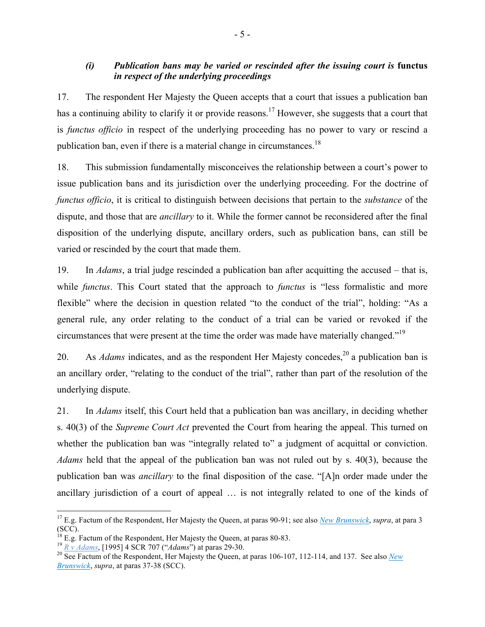# <span id="page-10-0"></span>*(i) Publication bans may be varied or rescinded after the issuing court is* **functus** *in respect of the underlying proceedings*

17. The respondent Her Majesty the Queen accepts that a court that issues a publication ban has a continuing ability to clarify it or provide reasons.<sup>17</sup> However, she suggests that a court that is *functus officio* in respect of the underlying proceeding has no power to vary or rescind a publication ban, even if there is a material change in circumstances.<sup>18</sup>

18. This submission fundamentally misconceives the relationship between a court's power to issue publication bans and its jurisdiction over the underlying proceeding. For the doctrine of *functus officio*, it is critical to distinguish between decisions that pertain to the *substance* of the dispute, and those that are *ancillary* to it. While the former cannot be reconsidered after the final disposition of the underlying dispute, ancillary orders, such as publication bans, can still be varied or rescinded by the court that made them.

19. In *Adams*, a trial judge rescinded a publication ban after acquitting the accused – that is, while *functus*. This Court stated that the approach to *functus* is "less formalistic and more flexible" where the decision in question related "to the conduct of the trial", holding: "As a general rule, any order relating to the conduct of a trial can be varied or revoked if the circumstances that were present at the time the order was made have materially changed."<sup>19</sup>

20. As *Adams* indicates, and as the respondent Her Majesty concedes,<sup>20</sup> a publication ban is an ancillary order, "relating to the conduct of the trial", rather than part of the resolution of the underlying dispute.

21. In *Adams* itself, this Court held that a publication ban was ancillary, in deciding whether s. 40(3) of the *Supreme Court Act* prevented the Court from hearing the appeal. This turned on whether the publication ban was "integrally related to" a judgment of acquittal or conviction. *Adams* held that the appeal of the publication ban was not ruled out by s. 40(3), because the publication ban was *ancillary* to the final disposition of the case. "[A]n order made under the ancillary jurisdiction of a court of appeal … is not integrally related to one of the kinds of

 <sup>17</sup> E.g. Factum of the Respondent, Her Majesty the Queen, at paras 90-91; see also *New Brunswick*, *supra*, at para 3 (SCC).<br><sup>18</sup> E.g. Factum of the Respondent, Her Majesty the Queen, at paras 80-83.

 $\frac{19}{20}$   $\frac{N}{2}$   $\frac{V}{4}$   $\frac{dams}{dams}$ , [1995] 4 SCR 707 ("Adams") at paras 29-30.<br><sup>20</sup> See Factum of the Respondent, Her Majesty the Oueen, at paras 106-107, 112-114, and 137. See also *New Brunswick*, *supra*, at paras 37-38 (SCC).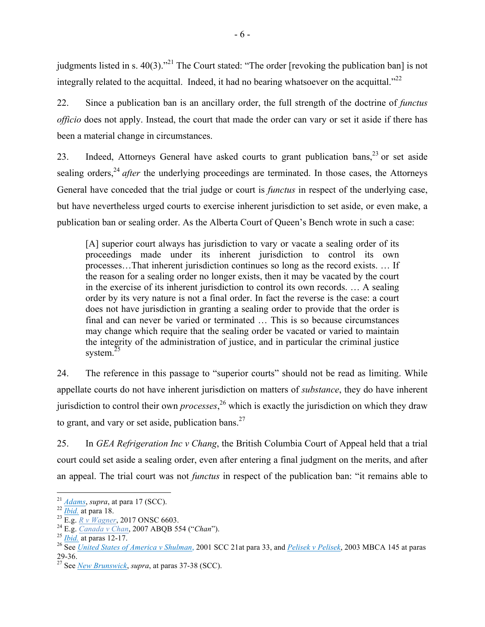judgments listed in s. 40(3).<sup>21</sup> The Court stated: "The order [revoking the publication ban] is not integrally related to the acquittal. Indeed, it had no bearing whatsoever on the acquittal."<sup>22</sup>

22. Since a publication ban is an ancillary order, the full strength of the doctrine of *functus officio* does not apply. Instead, the court that made the order can vary or set it aside if there has been a material change in circumstances.

23. Indeed, Attorneys General have asked courts to grant publication bans,  $2<sup>3</sup>$  or set aside sealing orders,<sup>24</sup> *after* the underlying proceedings are terminated. In those cases, the Attorneys General have conceded that the trial judge or court is *functus* in respect of the underlying case, but have nevertheless urged courts to exercise inherent jurisdiction to set aside, or even make, a publication ban or sealing order. As the Alberta Court of Queen's Bench wrote in such a case:

[A] superior court always has jurisdiction to vary or vacate a sealing order of its proceedings made under its inherent jurisdiction to control its own processes…That inherent jurisdiction continues so long as the record exists. … If the reason for a sealing order no longer exists, then it may be vacated by the court in the exercise of its inherent jurisdiction to control its own records. … A sealing order by its very nature is not a final order. In fact the reverse is the case: a court does not have jurisdiction in granting a sealing order to provide that the order is final and can never be varied or terminated … This is so because circumstances may change which require that the sealing order be vacated or varied to maintain the integrity of the administration of justice, and in particular the criminal justice system. $^{25}$ 

24. The reference in this passage to "superior courts" should not be read as limiting. While appellate courts do not have inherent jurisdiction on matters of *substance*, they do have inherent jurisdiction to control their own *processes*, <sup>26</sup> which is exactly the jurisdiction on which they draw to grant, and vary or set aside, publication bans. $27$ 

25. In *GEA Refrigeration Inc v Chang*, the British Columbia Court of Appeal held that a trial court could set aside a sealing order, even after entering a final judgment on the merits, and after an appeal. The trial court was not *functus* in respect of the publication ban: "it remains able to

<sup>&</sup>lt;sup>21</sup> Adams, supra, at para 17 (SCC).<br>
<sup>22</sup> <u>Ibid.</u> at para 18.<br>
<sup>23</sup> E.g. *R* v Wagner, 2017 ONSC 6603.<br>
<sup>24</sup> E.g. *Canada v Chan*, 2007 ABQB 554 ("*Chan*").<br>
<sup>25</sup> Ibid. at paras 12-17.<br>
<sup>26</sup> See United States of America 29-36. <sup>27</sup> See *New Brunswick*, *supra*, at paras 37-38 (SCC).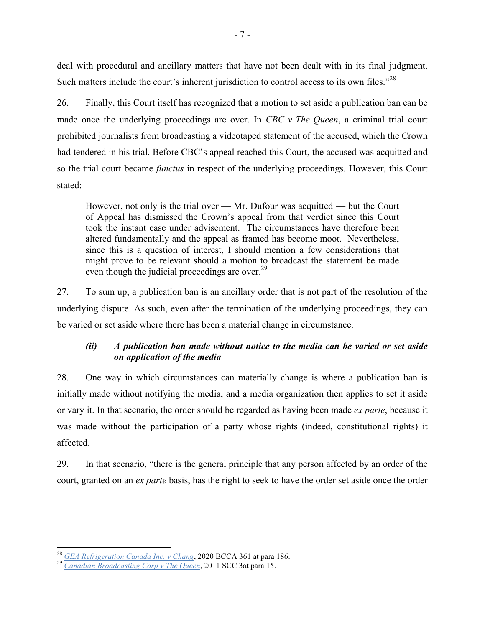<span id="page-12-0"></span>deal with procedural and ancillary matters that have not been dealt with in its final judgment. Such matters include the court's inherent jurisdiction to control access to its own files."<sup>28</sup>

26. Finally, this Court itself has recognized that a motion to set aside a publication ban can be made once the underlying proceedings are over. In *CBC v The Queen*, a criminal trial court prohibited journalists from broadcasting a videotaped statement of the accused, which the Crown had tendered in his trial. Before CBC's appeal reached this Court, the accused was acquitted and so the trial court became *functus* in respect of the underlying proceedings. However, this Court stated:

However, not only is the trial over — Mr. Dufour was acquitted — but the Court of Appeal has dismissed the Crown's appeal from that verdict since this Court took the instant case under advisement. The circumstances have therefore been altered fundamentally and the appeal as framed has become moot. Nevertheless, since this is a question of interest, I should mention a few considerations that might prove to be relevant should a motion to broadcast the statement be made even though the judicial proceedings are over.<sup>29</sup>

27. To sum up, a publication ban is an ancillary order that is not part of the resolution of the underlying dispute. As such, even after the termination of the underlying proceedings, they can be varied or set aside where there has been a material change in circumstance.

# *(ii) A publication ban made without notice to the media can be varied or set aside on application of the media*

28. One way in which circumstances can materially change is where a publication ban is initially made without notifying the media, and a media organization then applies to set it aside or vary it. In that scenario, the order should be regarded as having been made *ex parte*, because it was made without the participation of a party whose rights (indeed, constitutional rights) it affected.

29. In that scenario, "there is the general principle that any person affected by an order of the court, granted on an *ex parte* basis, has the right to seek to have the order set aside once the order

<sup>28</sup> *GEA Refrigeration Canada Inc. v Chang*, 2020 BCCA 361 at para 186. <sup>29</sup> *Canadian Broadcasting Corp v The Queen*, 2011 SCC 3at para 15.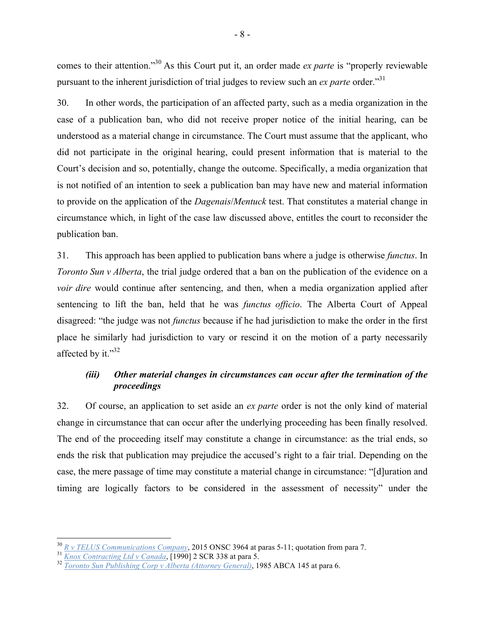<span id="page-13-0"></span>comes to their attention." <sup>30</sup> As this Court put it, an order made *ex parte* is "properly reviewable pursuant to the inherent jurisdiction of trial judges to review such an *ex parte* order."31

30. In other words, the participation of an affected party, such as a media organization in the case of a publication ban, who did not receive proper notice of the initial hearing, can be understood as a material change in circumstance. The Court must assume that the applicant, who did not participate in the original hearing, could present information that is material to the Court's decision and so, potentially, change the outcome. Specifically, a media organization that is not notified of an intention to seek a publication ban may have new and material information to provide on the application of the *Dagenais*/*Mentuck* test. That constitutes a material change in circumstance which, in light of the case law discussed above, entitles the court to reconsider the publication ban.

31. This approach has been applied to publication bans where a judge is otherwise *functus*. In *Toronto Sun v Alberta*, the trial judge ordered that a ban on the publication of the evidence on a *voir dire* would continue after sentencing, and then, when a media organization applied after sentencing to lift the ban, held that he was *functus officio*. The Alberta Court of Appeal disagreed: "the judge was not *functus* because if he had jurisdiction to make the order in the first place he similarly had jurisdiction to vary or rescind it on the motion of a party necessarily affected by it."32

# *(iii) Other material changes in circumstances can occur after the termination of the proceedings*

32. Of course, an application to set aside an *ex parte* order is not the only kind of material change in circumstance that can occur after the underlying proceeding has been finally resolved. The end of the proceeding itself may constitute a change in circumstance: as the trial ends, so ends the risk that publication may prejudice the accused's right to a fair trial. Depending on the case, the mere passage of time may constitute a material change in circumstance: "[d]uration and timing are logically factors to be considered in the assessment of necessity" under the

<sup>&</sup>lt;sup>30</sup> R v TELUS Communications Company, 2015 ONSC 3964 at paras 5-11; quotation from para 7.<br><sup>31</sup> <u>Knox Contracting Ltd v Canada</u>, [1990] 2 SCR 338 at para 5.<br><sup>32</sup> Toronto Sun Publishing Corp v Alberta (Attorney General),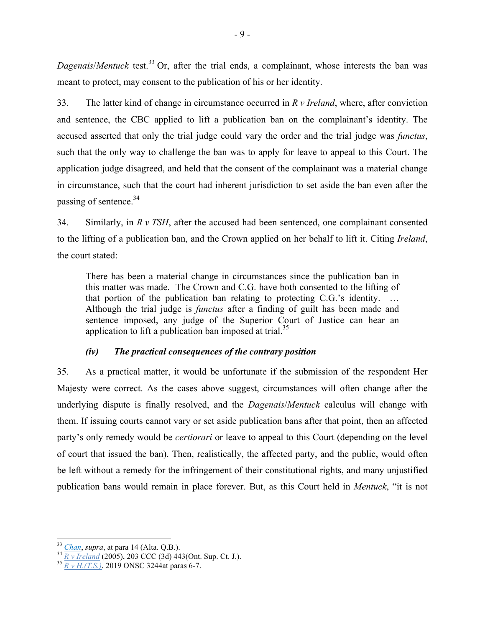<span id="page-14-0"></span>*Dagenais/Mentuck* test.<sup>33</sup> Or, after the trial ends, a complainant, whose interests the ban was meant to protect, may consent to the publication of his or her identity.

33. The latter kind of change in circumstance occurred in *R v Ireland*, where, after conviction and sentence, the CBC applied to lift a publication ban on the complainant's identity. The accused asserted that only the trial judge could vary the order and the trial judge was *functus*, such that the only way to challenge the ban was to apply for leave to appeal to this Court. The application judge disagreed, and held that the consent of the complainant was a material change in circumstance, such that the court had inherent jurisdiction to set aside the ban even after the passing of sentence.<sup>34</sup>

34. Similarly, in *R v TSH*, after the accused had been sentenced, one complainant consented to the lifting of a publication ban, and the Crown applied on her behalf to lift it. Citing *Ireland*, the court stated:

There has been a material change in circumstances since the publication ban in this matter was made. The Crown and C.G. have both consented to the lifting of that portion of the publication ban relating to protecting C.G.'s identity. … Although the trial judge is *functus* after a finding of guilt has been made and sentence imposed, any judge of the Superior Court of Justice can hear an application to lift a publication ban imposed at trial.<sup>35</sup>

# *(iv) The practical consequences of the contrary position*

35. As a practical matter, it would be unfortunate if the submission of the respondent Her Majesty were correct. As the cases above suggest, circumstances will often change after the underlying dispute is finally resolved, and the *Dagenais*/*Mentuck* calculus will change with them. If issuing courts cannot vary or set aside publication bans after that point, then an affected party's only remedy would be *certiorari* or leave to appeal to this Court (depending on the level of court that issued the ban). Then, realistically, the affected party, and the public, would often be left without a remedy for the infringement of their constitutional rights, and many unjustified publication bans would remain in place forever. But, as this Court held in *Mentuck*, "it is not

<sup>33</sup> *Chan*, *supra*, at para 14 (Alta. Q.B.). <sup>34</sup> *R v Ireland* (2005), 203 CCC (3d) 443(Ont. Sup. Ct. J.). <sup>35</sup> *R v H.(T.S.)*, 2019 ONSC 3244at paras 6-7.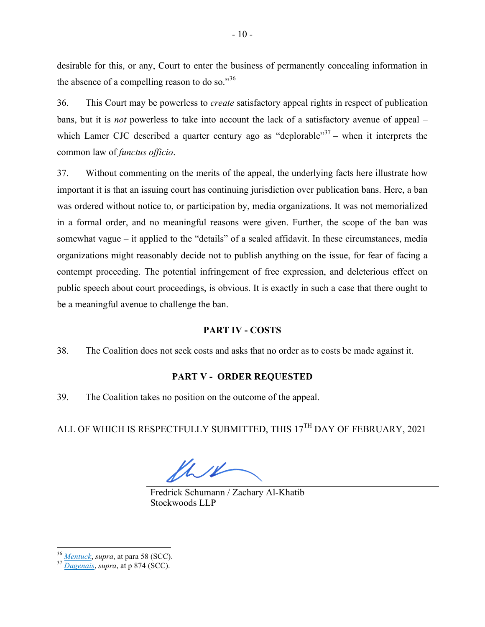<span id="page-15-0"></span>desirable for this, or any, Court to enter the business of permanently concealing information in the absence of a compelling reason to do so."<sup>36</sup>

36. This Court may be powerless to *create* satisfactory appeal rights in respect of publication bans, but it is *not* powerless to take into account the lack of a satisfactory avenue of appeal – which Lamer CJC described a quarter century ago as "deplorable"<sup>37</sup> – when it interprets the common law of *functus officio*.

37. Without commenting on the merits of the appeal, the underlying facts here illustrate how important it is that an issuing court has continuing jurisdiction over publication bans. Here, a ban was ordered without notice to, or participation by, media organizations. It was not memorialized in a formal order, and no meaningful reasons were given. Further, the scope of the ban was somewhat vague – it applied to the "details" of a sealed affidavit. In these circumstances, media organizations might reasonably decide not to publish anything on the issue, for fear of facing a contempt proceeding. The potential infringement of free expression, and deleterious effect on public speech about court proceedings, is obvious. It is exactly in such a case that there ought to be a meaningful avenue to challenge the ban.

## **PART IV - COSTS**

38. The Coalition does not seek costs and asks that no order as to costs be made against it.

## **PART V - ORDER REQUESTED**

39. The Coalition takes no position on the outcome of the appeal.

ALL OF WHICH IS RESPECTFULLY SUBMITTED, THIS 17<sup>TH</sup> DAY OF FEBRUARY, 2021

lhu

Fredrick Schumann / Zachary Al-Khatib Stockwoods LLP

<sup>36</sup> *Mentuck*, *supra*, at para 58 (SCC). <sup>37</sup> *Dagenais*, *supra*, at p 874 (SCC).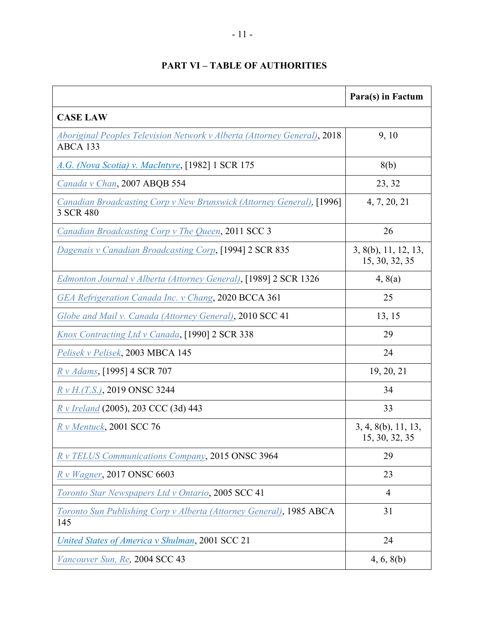<span id="page-16-0"></span>

|                                                                                             | Para(s) in Factum                      |  |  |
|---------------------------------------------------------------------------------------------|----------------------------------------|--|--|
| <b>CASE LAW</b>                                                                             |                                        |  |  |
| <b>Aboriginal Peoples Television Network v Alberta (Attorney General), 2018</b><br>ABCA 133 | 9, 10                                  |  |  |
| A.G. (Nova Scotia) v. MacIntyre, [1982] 1 SCR 175                                           | 8(b)                                   |  |  |
| Canada v Chan, 2007 ABQB 554                                                                | 23, 32                                 |  |  |
| Canadian Broadcasting Corp v New Brunswick (Attorney General), [1996]<br>3 SCR 480          | 4, 7, 20, 21                           |  |  |
| Canadian Broadcasting Corp v The Queen, 2011 SCC 3                                          | 26                                     |  |  |
| Dagenais v Canadian Broadcasting Corp, [1994] 2 SCR 835                                     | 3, 8(b), 11, 12, 13,<br>15, 30, 32, 35 |  |  |
| Edmonton Journal v Alberta (Attorney General), [1989] 2 SCR 1326                            | 4, 8(a)                                |  |  |
| GEA Refrigeration Canada Inc. v Chang, 2020 BCCA 361                                        | 25                                     |  |  |
| Globe and Mail v. Canada (Attorney General), 2010 SCC 41                                    | 13, 15                                 |  |  |
| Knox Contracting Ltd v Canada, [1990] 2 SCR 338                                             | 29                                     |  |  |
| Pelisek v Pelisek, 2003 MBCA 145                                                            | 24                                     |  |  |
| R v Adams, [1995] 4 SCR 707                                                                 | 19, 20, 21                             |  |  |
| $R \nu H(T.S.),$ 2019 ONSC 3244                                                             | 34                                     |  |  |
| R v Ireland (2005), 203 CCC (3d) 443                                                        | 33                                     |  |  |
| $Rv$ Mentuck, 2001 SCC 76                                                                   | 3, 4, 8(b), 11, 13,<br>15, 30, 32, 35  |  |  |
| R v TELUS Communications Company, 2015 ONSC 3964                                            | 29                                     |  |  |
| R v Wagner, 2017 ONSC 6603                                                                  | 23                                     |  |  |
| Toronto Star Newspapers Ltd v Ontario, 2005 SCC 41                                          | $\overline{4}$                         |  |  |
| Toronto Sun Publishing Corp v Alberta (Attorney General), 1985 ABCA<br>145                  | 31                                     |  |  |
| United States of America v Shulman, 2001 SCC 21                                             | 24                                     |  |  |
| Vancouver Sun, Re, 2004 SCC 43                                                              | 4, 6, 8(b)                             |  |  |

# **PART VI – TABLE OF AUTHORITIES**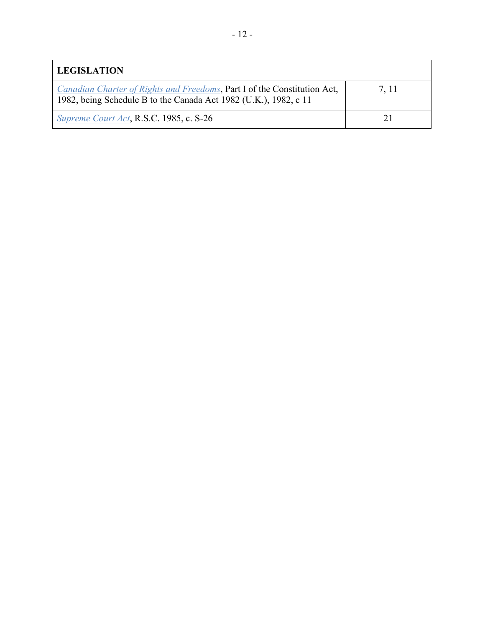| <b>LEGISLATION</b>                                                                                                                           |       |  |
|----------------------------------------------------------------------------------------------------------------------------------------------|-------|--|
| Canadian Charter of Rights and Freedoms, Part I of the Constitution Act,<br>1982, being Schedule B to the Canada Act 1982 (U.K.), 1982, c 11 | 7, 11 |  |
| Supreme Court Act, R.S.C. 1985, c. S-26                                                                                                      |       |  |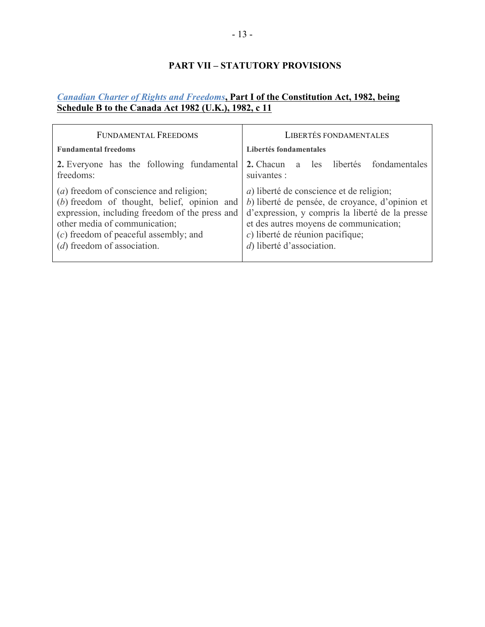# **PART VII – STATUTORY PROVISIONS**

# <span id="page-18-0"></span>*Canadian Charter of Rights and Freedoms***, Part I of the Constitution Act, 1982, being Schedule B to the Canada Act 1982 (U.K.), 1982, c 11**

| <b>FUNDAMENTAL FREEDOMS</b>                                                                                                                                                                                                                                    | <b>LIBERTÉS FONDAMENTALES</b>                                                                                                                                                                                                                                           |  |
|----------------------------------------------------------------------------------------------------------------------------------------------------------------------------------------------------------------------------------------------------------------|-------------------------------------------------------------------------------------------------------------------------------------------------------------------------------------------------------------------------------------------------------------------------|--|
| <b>Fundamental freedoms</b>                                                                                                                                                                                                                                    | Libertés fondamentales                                                                                                                                                                                                                                                  |  |
| 2. Everyone has the following fundamental<br>freedoms:                                                                                                                                                                                                         | 2. Chacun<br>a les libertés fondamentales<br>suivantes :                                                                                                                                                                                                                |  |
| ( <i>a</i> ) freedom of conscience and religion;<br>(b) freedom of thought, belief, opinion and<br>expression, including freedom of the press and<br>other media of communication;<br>$(c)$ freedom of peaceful assembly; and<br>$(d)$ freedom of association. | <i>a</i> ) liberté de conscience et de religion;<br>b) liberté de pensée, de croyance, d'opinion et<br>d'expression, y compris la liberté de la presse<br>et des autres moyens de communication;<br>$c$ ) liberté de réunion pacifique;<br>$d$ ) liberté d'association. |  |